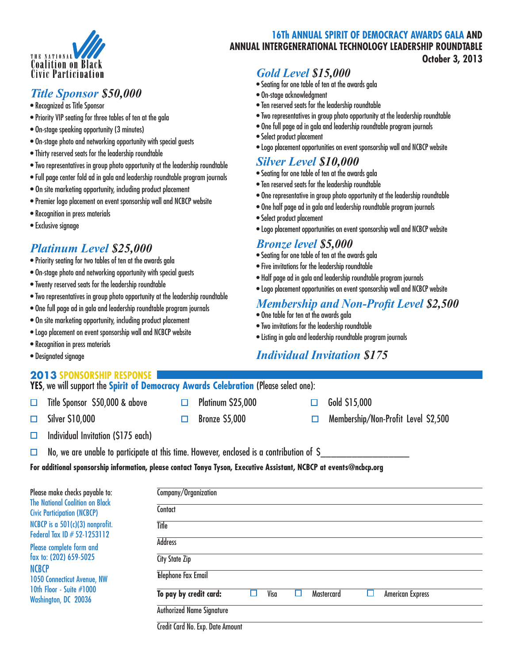

#### *Title Sponsor \$50,000*

- Recognized as Title Sponsor
- Priority VIP seating for three tables of ten at the gala
- On-stage speaking opportunity (3 minutes)
- On-stage photo and networking opportunity with special guests
- Thirty reserved seats for the leadership roundtable
- Two representatives in group photo opportunity at the leadership roundtable
- Full page center fold ad in gala and leadership roundtable program journals
- On site marketing opportunity, including product placement
- Premier logo placement on event sponsorship wall and NCBCP website
- Recognition in press materials
- Exclusive signage

#### *Platinum Level \$25,000*

- Priority seating for two tables of ten at the awards gala
- On-stage photo and networking opportunity with special guests
- Twenty reserved seats for the leadership roundtable
- Two representatives in group photo opportunity at the leadership roundtable
- One full page ad in gala and leadership roundtable program journals
- On site marketing opportunity, including product placement
- Logo placement on event sponsorship wall and NCBCP website
- Recognition in press materials
- Designated signage

#### **YES**, we will support the **Spirit of Democracy Awards Celebration** (Please select one): **2013 Sponsorship Response**

- $\Box$ 
	- Title Sponsor  $$50,000$  & above  $\Box$  Platinum  $$25,000$   $\Box$  Gold  $$15,000$
- $\Box$

- 
- Silver \$10,000  $\Box$  Bronze \$5,000  $\Box$  Membership/Non-Profit Level \$2,500
- Individual Invitation (\$175 each)  $\Box$
- No, we are unable to participate at this time. However, enclosed is a contribution of \$  $\Box$

**For additional sponsorship information, please contact Tonya Tyson, Executive Assistant, NCBCP at events@ncbcp.org**

| Please make checks payable to:<br><b>The National Coalition on Black</b><br><b>Civic Participation (NCBCP)</b> | Company/Organization                                                                          |  |
|----------------------------------------------------------------------------------------------------------------|-----------------------------------------------------------------------------------------------|--|
|                                                                                                                | Contact                                                                                       |  |
| NCBCP is a 501(c)(3) nonprofit.<br>Federal Tax ID # 52-1253112                                                 | Title                                                                                         |  |
| Please complete form and<br>fax to: (202) 659-5025<br>NCBCP<br><b>1050 Connecticut Avenue, NW</b>              | <b>Address</b>                                                                                |  |
|                                                                                                                | <b>City State Zip</b>                                                                         |  |
|                                                                                                                | <b>Elephone Fax Email</b>                                                                     |  |
| 10th Floor - Suite #1000<br>Washington, DC 20036                                                               | To pay by credit card:<br><b>American Express</b><br>Visa<br><b>Mastercard</b><br>ப<br>ப<br>H |  |
|                                                                                                                | <b>Authorized Name Signature</b>                                                              |  |
|                                                                                                                |                                                                                               |  |

Credit Card No. Exp. Date Amount

**16Th ANNUAL SPIRIT OF DEMOCRACY AWARDS GALA AND ANNUAL INTERGENERATIONAL TECHNOLOGY LEADERSHIP ROUNDTABLE October 3, 2013**

### *Gold Level \$15,000*

- Seating for one table of ten at the awards gala
- On-stage acknowledgment
- Ten reserved seats for the leadership roundtable
- Two representatives in group photo opportunity at the leadership roundtable
- One full page ad in gala and leadership roundtable program journals
- Select product placement
- Logo placement opportunities on event sponsorship wall and NCBCP website

#### *Silver Level \$10,000*

- Seating for one table of ten at the awards gala
- Ten reserved seats for the leadership roundtable
- One representative in group photo opportunity at the leadership roundtable
- One half page ad in gala and leadership roundtable program journals
- Select product placement
- Logo placement opportunities on event sponsorship wall and NCBCP website

#### *Bronze level \$5,000*

- Seating for one table of ten at the awards gala
- Five invitations for the leadership roundtable
- Half page ad in gala and leadership roundtable program journals
- Logo placement opportunities on event sponsorship wall and NCBCP website

#### *Membership and Non-Profit Level \$2,500*

- One table for ten at the awards gala
- Two invitations for the leadership roundtable
- Listing in gala and leadership roundtable program journals

#### *Individual Invitation \$175*